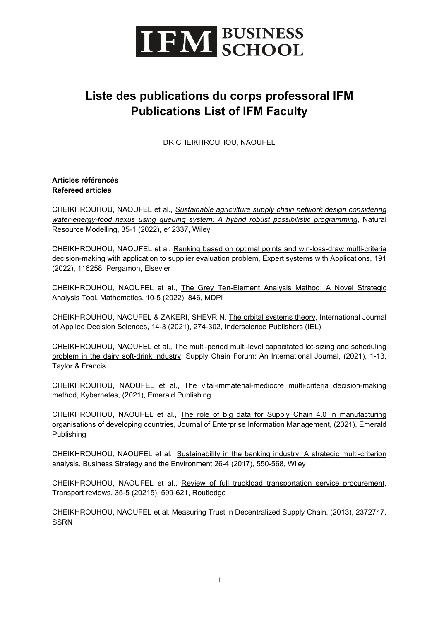

## **Liste des publications du corps professoral IFM Publications List of IFM Faculty**

DR CHEIKHROUHOU, NAOUFEL

#### **Articles référencés Refereed articles**

CHEIKHROUHOU, NAOUFEL et al., *[Sustainable agriculture supply chain network design considering](https://onlinelibrary.wiley.com/doi/abs/10.1111/nrm.12337)  water*‐*energy*‐*[food nexus using queuing system: A hybrid robust possibilistic programming](https://onlinelibrary.wiley.com/doi/abs/10.1111/nrm.12337)*, Natural Resource Modelling, 35-1 (2022), e12337, Wiley

CHEIKHROUHOU, NAOUFEL et al. [Ranking based on optimal points and win-loss-draw multi-criteria](https://www.sciencedirect.com/science/article/pii/S0957417421015670)  decision-making with [application to supplier evaluation problem,](https://www.sciencedirect.com/science/article/pii/S0957417421015670) Expert systems with Applications, 191 (2022), 116258, Pergamon, Elsevier

CHEIKHROUHOU, NAOUFEL et al., [The Grey Ten-Element Analysis Method: A Novel Strategic](https://www.mdpi.com/2227-7390/10/5/846)  [Analysis Tool,](https://www.mdpi.com/2227-7390/10/5/846) Mathematics, 10-5 (2022), 846, MDPI

CHEIKHROUHOU, NAOUFEL & ZAKERI, SHEVRIN, [The orbital systems theory,](https://www.researchgate.net/profile/Naoufel-Cheikhrouhou/publication/351555570_The_orbital_systems_theory/links/60a4eaec299bf10613676e76/The-orbital-systems-theory.pdf) International Journal of Applied Decision Sciences, 14-3 (2021), 274-302, Inderscience Publishers (IEL)

CHEIKHROUHOU, NAOUFEL et al., [The multi-period multi-level capacitated lot-sizing and scheduling](https://www.tandfonline.com/doi/abs/10.1080/16258312.2021.2007735)  [problem in the dairy soft-drink industry,](https://www.tandfonline.com/doi/abs/10.1080/16258312.2021.2007735) Supply Chain Forum: An International Journal, (2021), 1-13, Taylor & Francis

CHEIKHROUHOU, NAOUFEL et al., [The vital-immaterial-mediocre multi-criteria decision-making](https://www.emerald.com/insight/content/doi/10.1108/K-05-2021-0403/full/html?utm_source=rss&utm_medium=feed&utm_campaign=rss_journalLatest)  [method,](https://www.emerald.com/insight/content/doi/10.1108/K-05-2021-0403/full/html?utm_source=rss&utm_medium=feed&utm_campaign=rss_journalLatest) Kybernetes, (2021), Emerald Publishing

CHEIKHROUHOU, NAOUFEL et al., [The role of big data for Supply Chain 4.0 in manufacturing](https://www.emerald.com/insight/content/doi/10.1108/JEIM-11-2020-0463/full/html)  [organisations of developing countries,](https://www.emerald.com/insight/content/doi/10.1108/JEIM-11-2020-0463/full/html) Journal of Enterprise Information Management, (2021), Emerald Publishing

CHEIKHROUHOU, NAOUFEL et al., [Sustainability in the banking industry: A strategic multi](https://onlinelibrary.wiley.com/doi/abs/10.1002/bse.1946)‐criterion [analysis,](https://onlinelibrary.wiley.com/doi/abs/10.1002/bse.1946) Business Strategy and the Environment 26-4 (2017), 550-568, Wiley

CHEIKHROUHOU, NAOUFEL et al., [Review of full truckload transportation service procurement,](https://www.tandfonline.com/doi/abs/10.1080/01441647.2015.1038741) Transport reviews, 35-5 (20215), 599-621, Routledge

CHEIKHROUHOU, NAOUFEL et al. [Measuring Trust in Decentralized Supply Chain,](https://papers.ssrn.com/sol3/papers.cfm?abstract_id=2372747) (2013), 2372747, **SSRN**